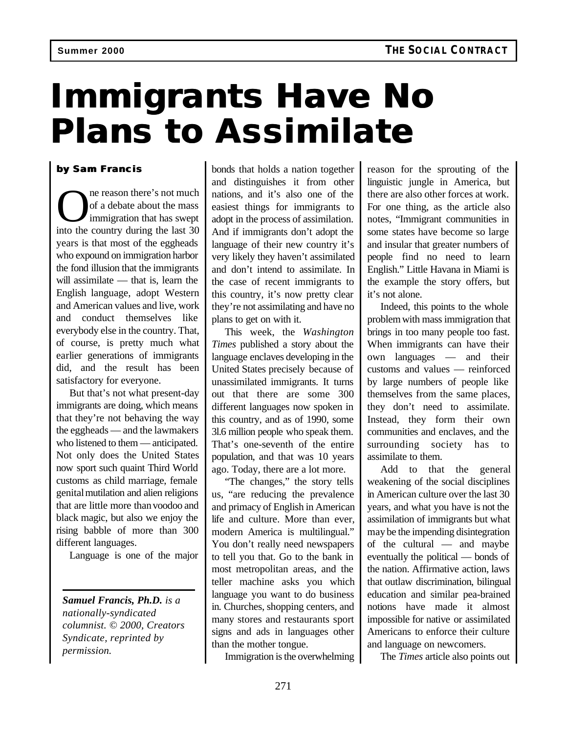## **Immigrants Have No Plans to Assimilate**

## **by Sam Francis**

**O** in the countere's not much of a debate about the mass immigration that has swept into the country during the last 30 ne reason there's not much of a debate about the mass immigration that has swept years is that most of the eggheads who expound on immigration harbor the fond illusion that the immigrants will assimilate — that is, learn the English language, adopt Western and American values and live, work and conduct themselves like everybody else in the country. That, of course, is pretty much what earlier generations of immigrants did, and the result has been satisfactory for everyone.

But that's not what present-day immigrants are doing, which means that they're not behaving the way the eggheads — and the lawmakers who listened to them — anticipated. Not only does the United States now sport such quaint Third World customs as child marriage, female genital mutilation and alien religions that are little more than voodoo and black magic, but also we enjoy the rising babble of more than 300 different languages.

Language is one of the major

*Samuel Francis, Ph.D. is a nationally-syndicated columnist. © 2000, Creators Syndicate, reprinted by permission.*

bonds that holds a nation together and distinguishes it from other nations, and it's also one of the easiest things for immigrants to adopt in the process of assimilation. And if immigrants don't adopt the language of their new country it's very likely they haven't assimilated and don't intend to assimilate. In the case of recent immigrants to this country, it's now pretty clear they're not assimilating and have no plans to get on with it.

This week, the *Washington Times* published a story about the language enclaves developing in the United States precisely because of unassimilated immigrants. It turns out that there are some 300 different languages now spoken in this country, and as of 1990, some 3l.6 million people who speak them. That's one-seventh of the entire population, and that was 10 years ago. Today, there are a lot more.

"The changes," the story tells us, "are reducing the prevalence and primacy of English in American life and culture. More than ever, modern America is multilingual." You don't really need newspapers to tell you that. Go to the bank in most metropolitan areas, and the teller machine asks you which language you want to do business in. Churches, shopping centers, and many stores and restaurants sport signs and ads in languages other than the mother tongue.

Immigration is the overwhelming

reason for the sprouting of the linguistic jungle in America, but there are also other forces at work. For one thing, as the article also notes, "Immigrant communities in some states have become so large and insular that greater numbers of people find no need to learn English." Little Havana in Miami is the example the story offers, but it's not alone.

Indeed, this points to the whole problem with mass immigration that brings in too many people too fast. When immigrants can have their own languages — and their customs and values — reinforced by large numbers of people like themselves from the same places, they don't need to assimilate. Instead, they form their own communities and enclaves, and the surrounding society has to assimilate to them.

Add to that the general weakening of the social disciplines in American culture over the last 30 years, and what you have is not the assimilation of immigrants but what may be the impending disintegration of the cultural — and maybe eventually the political — bonds of the nation. Affirmative action, laws that outlaw discrimination, bilingual education and similar pea-brained notions have made it almost impossible for native or assimilated Americans to enforce their culture and language on newcomers.

The *Times* article also points out